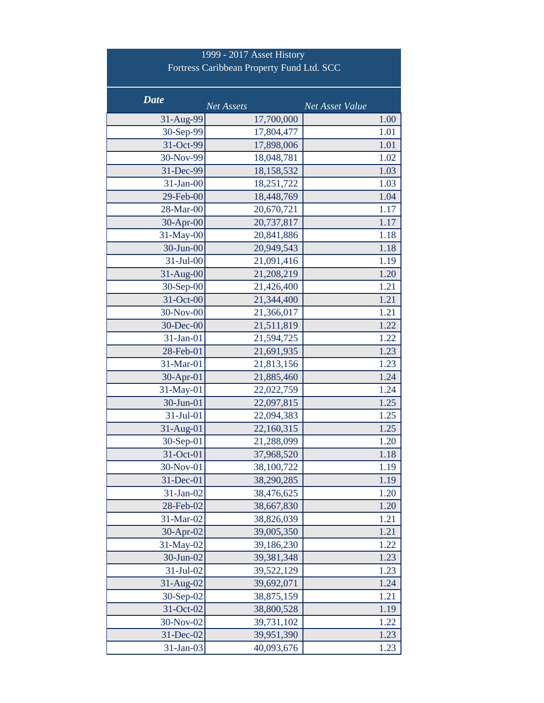| 1999 - 2017 Asset History<br>Fortress Caribbean Property Fund Ltd. SCC |                          |                 |  |  |  |
|------------------------------------------------------------------------|--------------------------|-----------------|--|--|--|
| <b>Date</b>                                                            | Net Assets               | Net Asset Value |  |  |  |
| 31-Aug-99                                                              | 17,700,000               | 1.00            |  |  |  |
| 30-Sep-99                                                              | 17,804,477               | 1.01            |  |  |  |
| 31-Oct-99                                                              | 17,898,006               | 1.01            |  |  |  |
| 30-Nov-99                                                              | 18,048,781               | 1.02            |  |  |  |
| 31-Dec-99                                                              | 18,158,532               | 1.03            |  |  |  |
| 31-Jan-00                                                              | 18,251,722               | 1.03            |  |  |  |
| 29-Feb-00                                                              | 18,448,769               | 1.04            |  |  |  |
| 28-Mar-00                                                              | 20,670,721               | 1.17            |  |  |  |
| 30-Apr-00                                                              | 20,737,817               | 1.17            |  |  |  |
| 31-May-00                                                              | 20,841,886               | 1.18            |  |  |  |
| 30-Jun-00                                                              | 20,949,543               | 1.18            |  |  |  |
| 31-Jul-00                                                              | 21,091,416               | 1.19            |  |  |  |
| 31-Aug-00                                                              | 21,208,219               | 1.20            |  |  |  |
| $30-Sep-00$                                                            | 21,426,400               | 1.21            |  |  |  |
| 31-Oct-00                                                              | 21,344,400               | 1.21            |  |  |  |
| 30-Nov-00                                                              | 21,366,017               | 1.21            |  |  |  |
| 30-Dec-00                                                              | 21,511,819               | 1.22            |  |  |  |
| 31-Jan-01                                                              | 21,594,725               | 1.22            |  |  |  |
| 28-Feb-01                                                              | 21,691,935               | 1.23            |  |  |  |
| 31-Mar-01                                                              | 21,813,156               | 1.23            |  |  |  |
| 30-Apr-01                                                              | 21,885,460               | 1.24            |  |  |  |
| 31-May-01                                                              | 22,022,759               | 1.24            |  |  |  |
| 30-Jun-01                                                              | 22,097,815               | 1.25            |  |  |  |
| 31-Jul-01                                                              | 22,094,383               | 1.25            |  |  |  |
| 31-Aug-01                                                              | 22,160,315               | 1.25            |  |  |  |
| $30-Sep-01$                                                            | 21,288,099               | 1.20            |  |  |  |
| 31-Oct-01                                                              | 37,968,520               | 1.18            |  |  |  |
| 30-Nov-01                                                              | 38,100,722               | 1.19            |  |  |  |
| 31-Dec-01                                                              | 38,290,285               | 1.19            |  |  |  |
| $31-Jan-02$                                                            | 38,476,625               | 1.20            |  |  |  |
| 28-Feb-02<br>31-Mar-02                                                 | 38,667,830               | 1.20<br>1.21    |  |  |  |
| 30-Apr-02                                                              | 38,826,039<br>39,005,350 | 1.21            |  |  |  |
| 31-May-02                                                              | 39,186,230               | 1.22            |  |  |  |
| 30-Jun-02                                                              |                          | 1.23            |  |  |  |
| 31-Jul-02                                                              | 39,381,348<br>39,522,129 | 1.23            |  |  |  |
| 31-Aug-02                                                              | 39,692,071               | 1.24            |  |  |  |
| 30-Sep-02                                                              | 38,875,159               | 1.21            |  |  |  |
| 31-Oct-02                                                              | 38,800,528               | 1.19            |  |  |  |
| 30-Nov-02                                                              | 39,731,102               | 1.22            |  |  |  |
| 31-Dec-02                                                              | 39,951,390               | 1.23            |  |  |  |
| 31-Jan-03                                                              | 40,093,676               | 1.23            |  |  |  |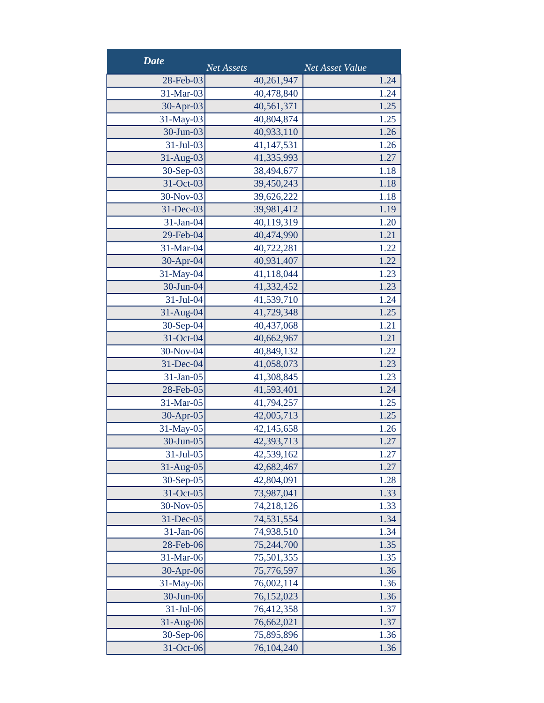| <b>Date</b> | <b>Net Assets</b> | Net Asset Value |
|-------------|-------------------|-----------------|
| 28-Feb-03   | 40,261,947        | 1.24            |
| 31-Mar-03   | 40,478,840        | 1.24            |
| 30-Apr-03   | 40,561,371        | 1.25            |
| 31-May-03   | 40,804,874        | 1.25            |
| 30-Jun-03   | 40,933,110        | 1.26            |
| 31-Jul-03   | 41,147,531        | 1.26            |
| 31-Aug-03   | 41,335,993        | 1.27            |
| 30-Sep-03   | 38,494,677        | 1.18            |
| 31-Oct-03   | 39,450,243        | 1.18            |
| 30-Nov-03   | 39,626,222        | 1.18            |
| 31-Dec-03   | 39,981,412        | 1.19            |
| 31-Jan-04   | 40,119,319        | 1.20            |
| 29-Feb-04   | 40,474,990        | 1.21            |
| 31-Mar-04   | 40,722,281        | 1.22            |
| 30-Apr-04   | 40,931,407        | 1.22            |
| 31-May-04   | 41,118,044        | 1.23            |
| 30-Jun-04   | 41,332,452        | 1.23            |
| 31-Jul-04   | 41,539,710        | 1.24            |
| 31-Aug-04   | 41,729,348        | 1.25            |
| 30-Sep-04   | 40,437,068        | 1.21            |
| 31-Oct-04   | 40,662,967        | 1.21            |
| 30-Nov-04   | 40,849,132        | 1.22            |
| 31-Dec-04   | 41,058,073        | 1.23            |
| 31-Jan-05   | 41,308,845        | 1.23            |
| 28-Feb-05   | 41,593,401        | 1.24            |
| 31-Mar-05   | 41,794,257        | 1.25            |
| 30-Apr-05   | 42,005,713        | 1.25            |
| 31-May-05   | 42,145,658        | 1.26            |
| 30-Jun-05   | 42,393,713        | 1.27            |
| 31-Jul-05   | 42,539,162        | 1.27            |
| 31-Aug-05   | 42,682,467        | 1.27            |
| 30-Sep-05   | 42,804,091        | 1.28            |
| 31-Oct-05   | 73,987,041        | 1.33            |
| 30-Nov-05   | 74,218,126        | 1.33            |
| 31-Dec-05   | 74,531,554        | 1.34            |
| 31-Jan-06   | 74,938,510        | 1.34            |
| 28-Feb-06   | 75,244,700        | 1.35            |
| 31-Mar-06   | 75,501,355        | 1.35            |
| 30-Apr-06   | 75,776,597        | 1.36            |
| 31-May-06   | 76,002,114        | 1.36            |
| 30-Jun-06   | 76,152,023        | 1.36            |
| 31-Jul-06   | 76,412,358        | 1.37            |
| 31-Aug-06   | 76,662,021        | 1.37            |
| 30-Sep-06   | 75,895,896        | 1.36            |
| 31-Oct-06   | 76,104,240        | 1.36            |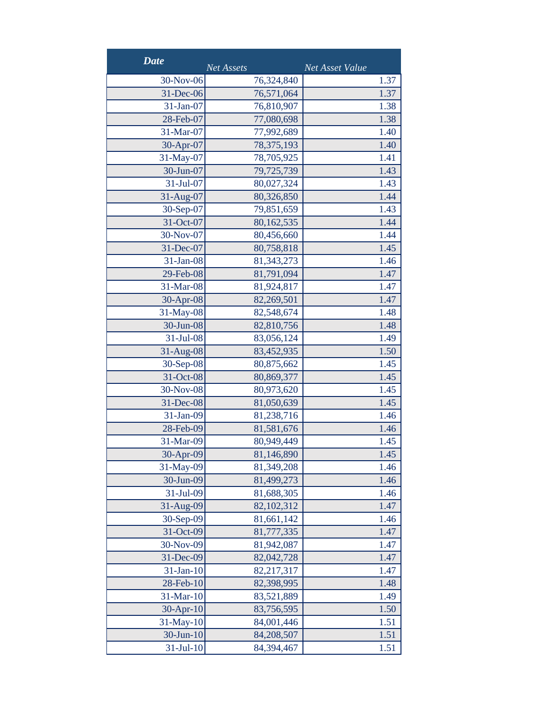| <b>Date</b>     | Net Assets   | Net Asset Value |
|-----------------|--------------|-----------------|
| 30-Nov-06       | 76,324,840   | 1.37            |
| 31-Dec-06       | 76,571,064   | 1.37            |
| 31-Jan-07       | 76,810,907   | 1.38            |
| 28-Feb-07       | 77,080,698   | 1.38            |
| 31-Mar-07       | 77,992,689   | 1.40            |
| 30-Apr-07       | 78, 375, 193 | 1.40            |
| 31-May-07       | 78,705,925   | 1.41            |
| 30-Jun-07       | 79,725,739   | 1.43            |
| 31-Jul-07       | 80,027,324   | 1.43            |
| 31-Aug-07       | 80,326,850   | 1.44            |
| 30-Sep-07       | 79,851,659   | 1.43            |
| 31-Oct-07       | 80,162,535   | 1.44            |
| 30-Nov-07       | 80,456,660   | 1.44            |
| 31-Dec-07       | 80,758,818   | 1.45            |
| 31-Jan-08       | 81, 343, 273 | 1.46            |
| 29-Feb-08       | 81,791,094   | 1.47            |
| 31-Mar-08       | 81,924,817   | 1.47            |
| 30-Apr-08       | 82,269,501   | 1.47            |
| 31-May-08       | 82,548,674   | 1.48            |
| 30-Jun-08       | 82,810,756   | 1.48            |
| 31-Jul-08       | 83,056,124   | 1.49            |
| 31-Aug-08       | 83,452,935   | 1.50            |
| 30-Sep-08       | 80,875,662   | 1.45            |
| 31-Oct-08       | 80,869,377   | 1.45            |
| 30-Nov-08       | 80,973,620   | 1.45            |
| 31-Dec-08       | 81,050,639   | 1.45            |
| 31-Jan-09       | 81,238,716   | 1.46            |
| 28-Feb-09       | 81,581,676   | 1.46            |
| 31-Mar-09       | 80,949,449   | 1.45            |
| 30-Apr-09       | 81,146,890   | 1.45            |
| 31-May-09       | 81,349,208   | 1.46            |
| 30-Jun-09       | 81,499,273   | 1.46            |
| 31-Jul-09       | 81,688,305   | 1.46            |
| 31-Aug-09       | 82,102,312   | 1.47            |
| 30-Sep-09       | 81,661,142   | 1.46            |
| 31-Oct-09       | 81,777,335   | 1.47            |
| 30-Nov-09       | 81,942,087   | 1.47            |
| 31-Dec-09       | 82,042,728   | 1.47            |
| $31-Jan-10$     | 82,217,317   | 1.47            |
| 28-Feb-10       | 82,398,995   | 1.48            |
| 31-Mar-10       | 83,521,889   | 1.49            |
| 30-Apr-10       | 83,756,595   | 1.50            |
| 31-May-10       | 84,001,446   | 1.51            |
| $30$ -Jun- $10$ | 84,208,507   | 1.51            |
| $31-Jul-10$     | 84,394,467   | 1.51            |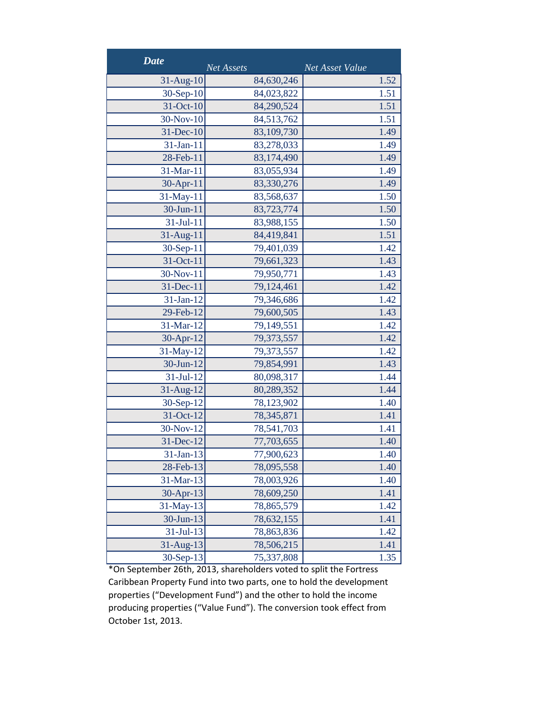| <b>Date</b>  | Net Assets | Net Asset Value |
|--------------|------------|-----------------|
| $31-Aug-10$  | 84,630,246 | 1.52            |
| 30-Sep-10    | 84,023,822 | 1.51            |
| 31-Oct-10    | 84,290,524 | 1.51            |
| 30-Nov-10    | 84,513,762 | 1.51            |
| 31-Dec-10    | 83,109,730 | 1.49            |
| $31-Ian-11$  | 83,278,033 | 1.49            |
| 28-Feb-11    | 83,174,490 | 1.49            |
| 31-Mar-11    | 83,055,934 | 1.49            |
| 30-Apr-11    | 83,330,276 | 1.49            |
| 31-May-11    | 83,568,637 | 1.50            |
| 30-Jun-11    | 83,723,774 | 1.50            |
| $31-Jul-11$  | 83,988,155 | 1.50            |
| $31$ -Aug-11 | 84,419,841 | 1.51            |
| 30-Sep-11    | 79,401,039 | 1.42            |
| 31-Oct-11    | 79,661,323 | 1.43            |
| 30-Nov-11    | 79,950,771 | 1.43            |
| 31-Dec-11    | 79,124,461 | 1.42            |
| $31-Jan-12$  | 79,346,686 | 1.42            |
| 29-Feb-12    | 79,600,505 | 1.43            |
| 31-Mar-12    | 79,149,551 | 1.42            |
| 30-Apr-12    | 79,373,557 | 1.42            |
| 31-May-12    | 79,373,557 | 1.42            |
| 30-Jun-12    | 79,854,991 | 1.43            |
| 31-Jul-12    | 80,098,317 | 1.44            |
| 31-Aug-12    | 80,289,352 | 1.44            |
| 30-Sep-12    | 78,123,902 | 1.40            |
| 31-Oct-12    | 78,345,871 | 1.41            |
| 30-Nov-12    | 78,541,703 | 1.41            |
| 31-Dec-12    | 77,703,655 | 1.40            |
| $31-Jan-13$  | 77,900,623 | 1.40            |
| 28-Feb-13    | 78,095,558 | 1.40            |
| 31-Mar-13    | 78,003,926 | 1.40            |
| 30-Apr-13    | 78,609,250 | 1.41            |
| 31-May-13    | 78,865,579 | 1.42            |
| $30$ -Jun-13 | 78,632,155 | 1.41            |
| $31-Jul-13$  | 78,863,836 | 1.42            |
| $31-Aug-13$  | 78,506,215 | 1.41            |
| $30-Sep-13$  | 75,337,808 | 1.35            |

\*On September 26th, 2013, shareholders voted to split the Fortress Caribbean Property Fund into two parts, one to hold the development properties ("Development Fund") and the other to hold the income producing properties ("Value Fund"). The conversion took effect from October 1st, 2013.